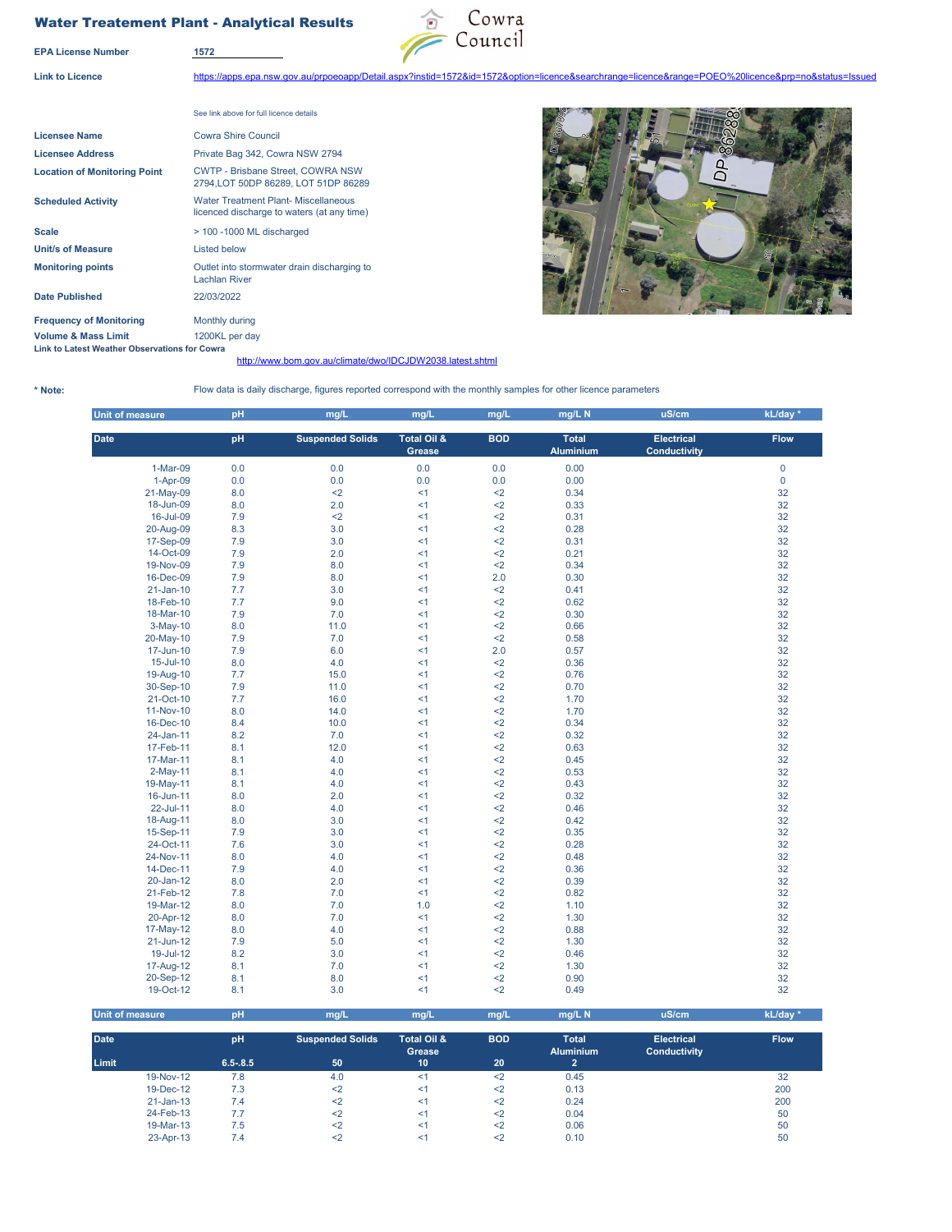## Water Treatement Plant - Analytical Results



**Link to Licence** https://apps.epa.nsw.gov.au/prpoeoapp/Detail.aspx?instid=1572&id=1572&option=licence&searchrange=licence&range=POEO%20licence&prp=no&status=Issued

**EPA License Number 1572**

See link above for full licence details **Licensee Name** Cowra Shire Council **Licensee Address** Private Bag 342, Cowra NSW 2794 **Location of Monitoring Point Scheduled Activity Scale**  $\rightarrow$  100 -1000 ML discharged **Unit/s of Measure** Listed below **Monitoring points Date Published** 22/03/2022 **Frequency of Monitoring Monthly during Volume & Mass Limit** 1200KL per day **Link to Latest Weather Observations for Cowra**  CWTP - Brisbane Street, COWRA NSW 2794,LOT 50DP 86289, LOT 51DP 86289 Water Treatment Plant- Miscellaneous licenced discharge to waters (at any time) Outlet into stormwater drain discharging to Lachlan River

## ධ

**\* Note:**

## http://www.bom.gov.au/climate/dwo/IDCJDW2038.latest.shtml

Flow data is daily discharge, figures reported correspond with the monthly samples for other licence parameters

| Unit of measure | pH  | mg/L                    | mg/L                  | mg/L       | mg/L N                           | uS/cm                                    | kL/day *    |
|-----------------|-----|-------------------------|-----------------------|------------|----------------------------------|------------------------------------------|-------------|
| <b>Date</b>     | pH  | <b>Suspended Solids</b> | Total Oil &<br>Grease | <b>BOD</b> | <b>Total</b><br><b>Aluminium</b> | <b>Electrical</b><br><b>Conductivity</b> | <b>Flow</b> |
| 1-Mar-09        | 0.0 | 0.0                     | 0.0                   | 0.0        | 0.00                             |                                          | $\mathbf 0$ |
| 1-Apr-09        | 0.0 | 0.0                     | 0.0                   | 0.0        | 0.00                             |                                          | $\mathbf 0$ |
| 21-May-09       | 8.0 | $2$                     | <1                    | $2$        | 0.34                             |                                          | 32          |
| 18-Jun-09       | 8.0 | 2.0                     | $\leq$ 1              | $2$        | 0.33                             |                                          | 32          |
| 16-Jul-09       | 7.9 | $2$                     | <1                    | $2$        | 0.31                             |                                          | 32          |
| 20-Aug-09       | 8.3 | 3.0                     | $\leq$ 1              | $2$        | 0.28                             |                                          | 32          |
| 17-Sep-09       | 7.9 | 3.0                     | $\leq$ 1              | $2$        | 0.31                             |                                          | 32          |
| 14-Oct-09       | 7.9 | 2.0                     | <1                    | $\leq$ 2   | 0.21                             |                                          | 32          |
| 19-Nov-09       | 7.9 | 8.0                     | $\leq$ 1              | $2$        | 0.34                             |                                          | 32          |
| 16-Dec-09       | 7.9 | 8.0                     | < 1                   | 2.0        | 0.30                             |                                          | 32          |
| $21$ -Jan-10    | 7.7 | 3.0                     | <1                    | $2$        | 0.41                             |                                          | 32          |
| 18-Feb-10       | 7.7 | 9.0                     | $\leq$ 1              | $2$        | 0.62                             |                                          | 32          |
| 18-Mar-10       | 7.9 | 7.0                     | <1                    | $2$        | 0.30                             |                                          | 32          |
| $3-May-10$      | 8.0 | 11.0                    | $\leq$ 1              | $2$        | 0.66                             |                                          | 32          |
| 20-May-10       | 7.9 | 7.0                     | <1                    | $2$        | 0.58                             |                                          | 32          |
| 17-Jun-10       | 7.9 | 6.0                     | <1                    | 2.0        | 0.57                             |                                          | 32          |
| 15-Jul-10       | 8.0 | 4.0                     | $\leq$ 1              | $2$        | 0.36                             |                                          | 32          |
| 19-Aug-10       | 7.7 | 15.0                    | $\leq$ 1              | $2$        | 0.76                             |                                          | 32          |
| 30-Sep-10       | 7.9 | 11.0                    | < 1                   | $2$        | 0.70                             |                                          | 32          |
| 21-Oct-10       | 7.7 | 16.0                    | < 1                   | $2$        | 1.70                             |                                          | 32          |
| 11-Nov-10       | 8.0 | 14.0                    | < 1                   | $2$        | 1.70                             |                                          | 32          |
| 16-Dec-10       | 8.4 | 10.0                    | <1                    | $2$        | 0.34                             |                                          | 32          |
| 24-Jan-11       | 8.2 | 7.0                     | <1                    | $2$        | 0.32                             |                                          | 32          |
| 17-Feb-11       | 8.1 | 12.0                    | <1                    | $2$        | 0.63                             |                                          | 32          |
| 17-Mar-11       | 8.1 | 4.0                     | <1                    | $2$        | 0.45                             |                                          | 32          |
| $2-May-11$      | 8.1 | 4.0                     | $\leq$ 1              | $2$        | 0.53                             |                                          | 32          |
| 19-May-11       | 8.1 | 4.0                     | $\leq$ 1              | $2$        | 0.43                             |                                          | 32          |
| 16-Jun-11       | 8.0 | 2.0                     | $\leq$ 1              | $2$        | 0.32                             |                                          | 32          |
| 22-Jul-11       | 8.0 | 4.0                     | $\leq$ 1              | $2$        | 0.46                             |                                          | 32          |
| 18-Aug-11       | 8.0 | 3.0                     | $\leq$ 1              | $2$        | 0.42                             |                                          | 32          |
| 15-Sep-11       | 7.9 | 3.0                     | <1                    | $2$        | 0.35                             |                                          | 32          |
| 24-Oct-11       | 7.6 | 3.0                     | $\leq$ 1              | $2$        | 0.28                             |                                          | 32          |
| 24-Nov-11       | 8.0 | 4.0                     | $\leq$ 1              | $2$        | 0.48                             |                                          | 32          |
| 14-Dec-11       | 7.9 | 4.0                     | <1                    | $\leq$ 2   | 0.36                             |                                          | 32          |
| 20-Jan-12       | 8.0 | 2.0                     | $\leq$ 1              | $2$        | 0.39                             |                                          | 32          |
| 21-Feb-12       | 7.8 | 7.0                     | $\leq$ 1              | $2$        | 0.82                             |                                          | 32          |
| 19-Mar-12       | 8.0 | 7.0                     | 1.0                   | $2$        | 1.10                             |                                          | 32          |
| 20-Apr-12       | 8.0 | 7.0                     | <1                    | $2$        | 1.30                             |                                          | 32          |
| 17-May-12       | 8.0 | 4.0                     | <1                    | $2$        | 0.88                             |                                          | 32          |
| 21-Jun-12       | 7.9 | 5.0                     | $\leq$ 1              | $2$        | 1.30                             |                                          | 32          |
| 19-Jul-12       | 8.2 | 3.0                     | $\leq$ 1              | $2$        | 0.46                             |                                          | 32          |
| 17-Aug-12       | 8.1 | 7.0                     | $\leq$ 1              | $2$        | 1.30                             |                                          | 32          |
| 20-Sep-12       | 8.1 | 8.0                     | $\leq$ 1              | $2$        | 0.90                             |                                          | 32          |
| 19-Oct-12       | 8.1 | 3.0                     | $\leq$ 1              | $2$        | 0.49                             |                                          | 32          |

| <b>Unit of measure</b> | pH          | mq/L                    | mq/L                             | mg/L       | mg/L N                           | uS/cm                                    | kL/day *    |  |
|------------------------|-------------|-------------------------|----------------------------------|------------|----------------------------------|------------------------------------------|-------------|--|
| <b>Date</b>            | pH          | <b>Suspended Solids</b> | <b>Total Oil &amp;</b><br>Grease | <b>BOD</b> | <b>Total</b><br><b>Aluminium</b> | <b>Electrical</b><br><b>Conductivity</b> | <b>Flow</b> |  |
| Limit                  | $6.5 - 8.5$ | 50                      | 10                               | 20         |                                  |                                          |             |  |
| 19-Nov-12              | 7.8         | 4.0                     | <1                               | $2$        | 0.45                             |                                          | 32          |  |
| 19-Dec-12              | 7.3         | $\leq$                  | <1                               | $2$        | 0.13                             |                                          | 200         |  |
| $21$ -Jan-13           | 7.4         | $2$                     | <1                               | $2$        | 0.24                             |                                          | 200         |  |
| 24-Feb-13              | 7.7         | $\leq$                  | <1                               | $2$        | 0.04                             |                                          | 50          |  |
| 19-Mar-13              | 7.5         | $2$                     | <1                               | $2$        | 0.06                             |                                          | 50          |  |
| 23-Apr-13              | 7.4         |                         | <1                               | $2$        | 0.10                             |                                          | 50          |  |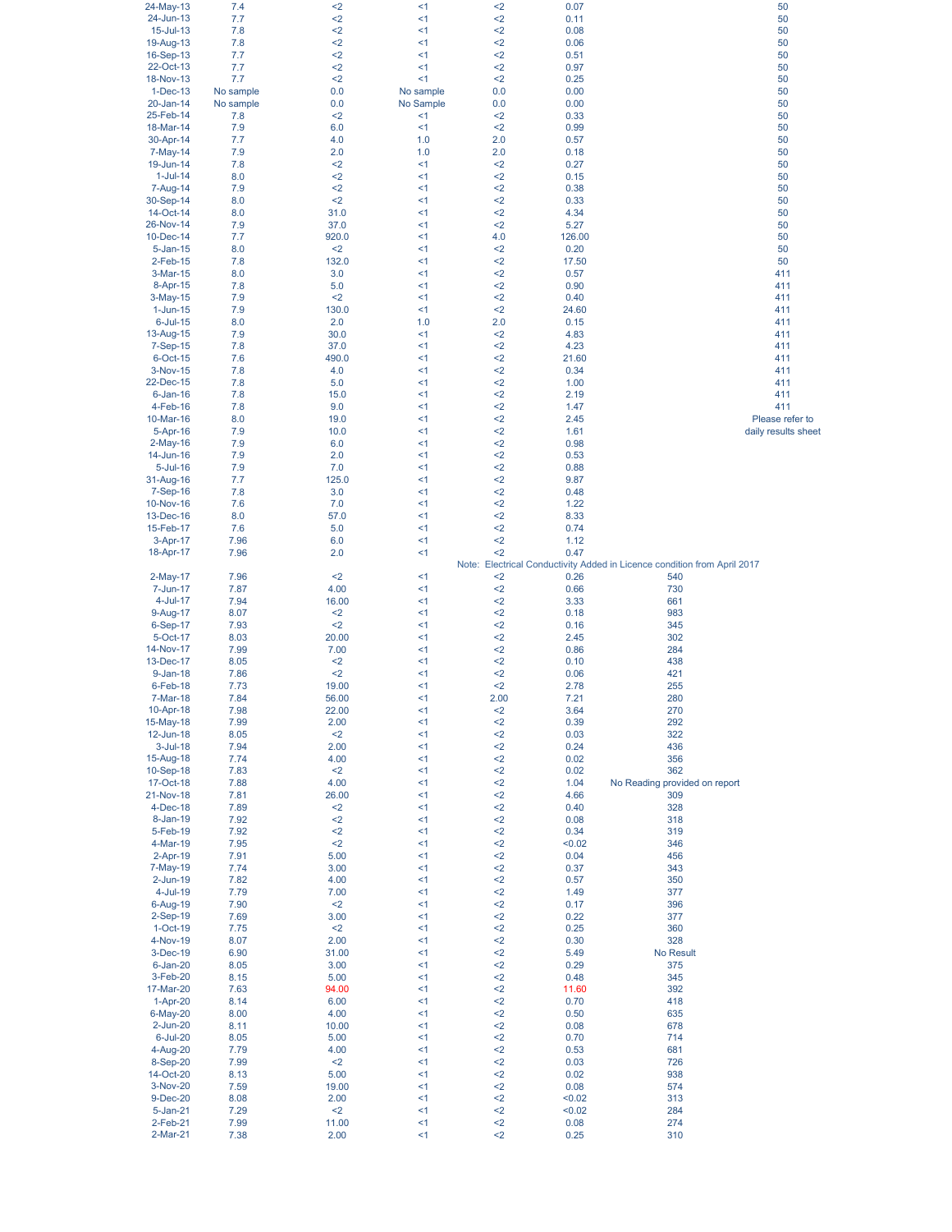| 24-May-13       | 7.4       | <2    | <1        | $2$  | 0.07   | 50                                                                       |
|-----------------|-----------|-------|-----------|------|--------|--------------------------------------------------------------------------|
| 24-Jun-13       | 7.7       | $2$   | <1        | $2$  | 0.11   | 50                                                                       |
| 15-Jul-13       | 7.8       | $2$   | $\leq$ 1  | $2$  | 0.08   | 50                                                                       |
|                 |           |       |           |      |        |                                                                          |
| 19-Aug-13       | 7.8       | $2$   | <1        | $2$  | 0.06   | 50                                                                       |
| 16-Sep-13       | 7.7       | <2    | <1        | $2$  | 0.51   | 50                                                                       |
| 22-Oct-13       | 7.7       | $2$   | <1        | $2$  | 0.97   | 50                                                                       |
| 18-Nov-13       | 7.7       | $2$   | $\leq$ 1  | $2$  | 0.25   | 50                                                                       |
| 1-Dec-13        | No sample | 0.0   | No sample | 0.0  | 0.00   | 50                                                                       |
| 20-Jan-14       | No sample |       |           |      |        |                                                                          |
|                 |           | 0.0   | No Sample | 0.0  | 0.00   | 50                                                                       |
| 25-Feb-14       | 7.8       | $2$   | <1        | $2$  | 0.33   | 50                                                                       |
| 18-Mar-14       | 7.9       | 6.0   | <1        | $2$  | 0.99   | 50                                                                       |
| 30-Apr-14       | 7.7       | 4.0   | 1.0       | 2.0  | 0.57   | 50                                                                       |
| 7-May-14        | 7.9       | 2.0   | 1.0       | 2.0  | 0.18   | 50                                                                       |
|                 |           |       |           |      |        |                                                                          |
| 19-Jun-14       | 7.8       | $2$   | <1        | $2$  | 0.27   | 50                                                                       |
| $1$ -Jul-14     | 8.0       | $2$   | <1        | $2$  | 0.15   | 50                                                                       |
| 7-Aug-14        | 7.9       | $2$   | <1        | $2$  | 0.38   | 50                                                                       |
| 30-Sep-14       | 8.0       | $2$   | $<$ 1     | $2$  | 0.33   | 50                                                                       |
| 14-Oct-14       | 8.0       | 31.0  | $<$ 1     | $2$  | 4.34   | 50                                                                       |
|                 |           |       |           |      |        |                                                                          |
| 26-Nov-14       | 7.9       | 37.0  | <1        | $2$  | 5.27   | 50                                                                       |
| 10-Dec-14       | 7.7       | 920.0 | <1        | 4.0  | 126.00 | 50                                                                       |
| 5-Jan-15        | 8.0       | $2$   | <1        | $2$  | 0.20   | 50                                                                       |
| 2-Feb-15        | 7.8       | 132.0 | $<$ 1     | $2$  | 17.50  | 50                                                                       |
| 3-Mar-15        | 8.0       | 3.0   | <1        | $2$  | 0.57   | 411                                                                      |
|                 |           |       |           |      |        |                                                                          |
| 8-Apr-15        | 7.8       | 5.0   | <1        | $2$  | 0.90   | 411                                                                      |
| 3-May-15        | 7.9       | $2$   | <1        | $2$  | 0.40   | 411                                                                      |
| $1$ -Jun- $15$  | 7.9       | 130.0 | <1        | $2$  | 24.60  | 411                                                                      |
| $6$ -Jul-15     | 8.0       | 2.0   | 1.0       | 2.0  | 0.15   | 411                                                                      |
| 13-Aug-15       | 7.9       | 30.0  | $<$ 1     | $2$  | 4.83   | 411                                                                      |
|                 |           |       |           |      |        |                                                                          |
| 7-Sep-15        | 7.8       | 37.0  | <1        | $2$  | 4.23   | 411                                                                      |
| 6-Oct-15        | 7.6       | 490.0 | <1        | $2$  | 21.60  | 411                                                                      |
| 3-Nov-15        | 7.8       | 4.0   | <1        | $2$  | 0.34   | 411                                                                      |
| 22-Dec-15       | 7.8       | 5.0   | <1        | $2$  | 1.00   | 411                                                                      |
| $6$ -Jan-16     | 7.8       | 15.0  | <1        | $2$  | 2.19   | 411                                                                      |
| 4-Feb-16        |           |       |           |      |        | 411                                                                      |
|                 | 7.8       | 9.0   | <1        | $2$  | 1.47   |                                                                          |
| 10-Mar-16       | 8.0       | 19.0  | <1        | $2$  | 2.45   | Please refer to                                                          |
| 5-Apr-16        | 7.9       | 10.0  | <1        | $2$  | 1.61   | daily results sheet                                                      |
| $2-May-16$      | 7.9       | 6.0   | $<$ 1     | $2$  | 0.98   |                                                                          |
| 14-Jun-16       | 7.9       | 2.0   | $<$ 1     | $2$  | 0.53   |                                                                          |
|                 |           |       |           |      |        |                                                                          |
| $5 -$ Jul $-16$ | 7.9       | 7.0   | <1        | $2$  | 0.88   |                                                                          |
| 31-Aug-16       | 7.7       | 125.0 | <1        | $2$  | 9.87   |                                                                          |
| 7-Sep-16        | 7.8       | 3.0   | <1        | $2$  | 0.48   |                                                                          |
| 10-Nov-16       | 7.6       | 7.0   | < 1       | $2$  | 1.22   |                                                                          |
| 13-Dec-16       | 8.0       | 57.0  | <1        | $2$  | 8.33   |                                                                          |
| 15-Feb-17       |           |       |           |      | 0.74   |                                                                          |
|                 | 7.6       | 5.0   | <1        | $2$  |        |                                                                          |
| 3-Apr-17        | 7.96      | 6.0   | <1        | $2$  | 1.12   |                                                                          |
| 18-Apr-17       | 7.96      | 2.0   | < 1       | $2$  | 0.47   |                                                                          |
|                 |           |       |           |      |        | Note: Electrical Conductivity Added in Licence condition from April 2017 |
| $2-May-17$      | 7.96      | $2$   | <1        | $2$  | 0.26   | 540                                                                      |
| 7-Jun-17        | 7.87      | 4.00  | <1        | $2$  | 0.66   | 730                                                                      |
|                 |           |       |           |      |        |                                                                          |
| $4$ -Jul-17     | 7.94      | 16.00 | <1        | $2$  | 3.33   | 661                                                                      |
| 9-Aug-17        | 8.07      | $2$   | <1        | $2$  | 0.18   | 983                                                                      |
| 6-Sep-17        | 7.93      | $2$   | <1        | $2$  | 0.16   | 345                                                                      |
| 5-Oct-17        | 8.03      | 20.00 | <1        | $2$  | 2.45   | 302                                                                      |
| 14-Nov-17       | 7.99      | 7.00  | <1        | $2$  | 0.86   | 284                                                                      |
|                 |           |       |           |      |        |                                                                          |
| 13-Dec-17       | 8.05      | $2$   | <1        | $2$  | 0.10   | 438                                                                      |
| 9-Jan-18        | 7.86      | $2$   | <1        | $2$  | 0.06   | 421                                                                      |
| $6$ -Feb-18     | 7.73      | 19.00 | <1        | $2$  | 2.78   | 255                                                                      |
| 7-Mar-18        | 7.84      | 56.00 | <1        | 2.00 | 7.21   | 280                                                                      |
| 10-Apr-18       | 7.98      | 22.00 | <1        | $2$  | 3.64   | 270                                                                      |
|                 |           |       | <1        | $2$  |        |                                                                          |
| 15-May-18       | 7.99      | 2.00  |           |      | 0.39   | 292                                                                      |
| 12-Jun-18       | 8.05      | $2$   | $\leq$ 1  | $2$  | 0.03   | 322                                                                      |
| $3$ -Jul-18     | 7.94      | 2.00  | <1        | $2$  | 0.24   | 436                                                                      |
| 15-Aug-18       | 7.74      | 4.00  | <1        | $2$  | 0.02   | 356                                                                      |
| 10-Sep-18       | 7.83      | $2$   | <1        | $2$  | 0.02   | 362                                                                      |
| 17-Oct-18       | 7.88      | 4.00  | $\leq$ 1  | $2$  | 1.04   | No Reading provided on report                                            |
|                 |           | 26.00 | <1        | $2$  |        |                                                                          |
| 21-Nov-18       | 7.81      |       |           |      | 4.66   | 309                                                                      |
| $4-Dec-18$      | 7.89      | $2$   | <1        | $2$  | 0.40   | 328                                                                      |
| 8-Jan-19        | 7.92      | $2$   | $\leq$ 1  | $2$  | 0.08   | 318                                                                      |
| 5-Feb-19        | 7.92      | $2$   | $\leq$ 1  | $2$  | 0.34   | 319                                                                      |
| 4-Mar-19        | 7.95      | $2$   | <1        | $2$  | < 0.02 | 346                                                                      |
| 2-Apr-19        | 7.91      | 5.00  | <1        | $2$  | 0.04   | 456                                                                      |
|                 |           |       |           |      |        |                                                                          |
| 7-May-19        | 7.74      | 3.00  | <1        | $2$  | 0.37   | 343                                                                      |
| $2$ -Jun-19     | 7.82      | 4.00  | <1        | $2$  | 0.57   | 350                                                                      |
| 4-Jul-19        | 7.79      | 7.00  | <1        | $2$  | 1.49   | 377                                                                      |
| $6 - Aug-19$    | 7.90      | $2$   | $\leq$ 1  | $2$  | 0.17   | 396                                                                      |
| 2-Sep-19        | 7.69      | 3.00  | <1        | $2$  | 0.22   | 377                                                                      |
|                 |           |       |           |      |        |                                                                          |
| $1-Oct-19$      | 7.75      | $2$   | <1        | $2$  | 0.25   | 360                                                                      |
| 4-Nov-19        | 8.07      | 2.00  | <1        | $2$  | 0.30   | 328                                                                      |
| 3-Dec-19        | 6.90      | 31.00 | <1        | $2$  | 5.49   | No Result                                                                |
| $6$ -Jan-20     | 8.05      | 3.00  | <1        | $2$  | 0.29   | 375                                                                      |
| 3-Feb-20        | 8.15      | 5.00  | <1        | $2$  | 0.48   | 345                                                                      |
|                 |           |       | $\leq$ 1  | $2$  |        |                                                                          |
| 17-Mar-20       | 7.63      | 94.00 |           |      | 11.60  | 392                                                                      |
| 1-Apr-20        | 8.14      | 6.00  | <1        | $2$  | 0.70   | 418                                                                      |
| 6-May-20        | 8.00      | 4.00  | <1        | $2$  | 0.50   | 635                                                                      |
| $2$ -Jun- $20$  | 8.11      | 10.00 | $\leq$ 1  | $2$  | 0.08   | 678                                                                      |
| 6-Jul-20        | 8.05      | 5.00  | <1        | $2$  | 0.70   | 714                                                                      |
|                 |           |       |           |      |        |                                                                          |
| 4-Aug-20        | 7.79      | 4.00  | <1        | $2$  | 0.53   | 681                                                                      |
| 8-Sep-20        | 7.99      | $2$   | $\leq$ 1  | $2$  | 0.03   | 726                                                                      |
| 14-Oct-20       | 8.13      | 5.00  | <1        | $2$  | 0.02   | 938                                                                      |
| 3-Nov-20        | 7.59      | 19.00 | <1        | $2$  | 0.08   | 574                                                                      |
| 9-Dec-20        | 8.08      | 2.00  | $\leq$ 1  | $2$  | < 0.02 | 313                                                                      |
|                 |           |       | $\leq$ 1  |      |        |                                                                          |
| 5-Jan-21        | 7.29      | $2$   |           | $2$  | < 0.02 | 284                                                                      |
| 2-Feb-21        | 7.99      | 11.00 | <1        | $2$  | 0.08   | 274                                                                      |
| 2-Mar-21        | 7.38      | 2.00  | $\leq$ 1  | $2$  | 0.25   | 310                                                                      |